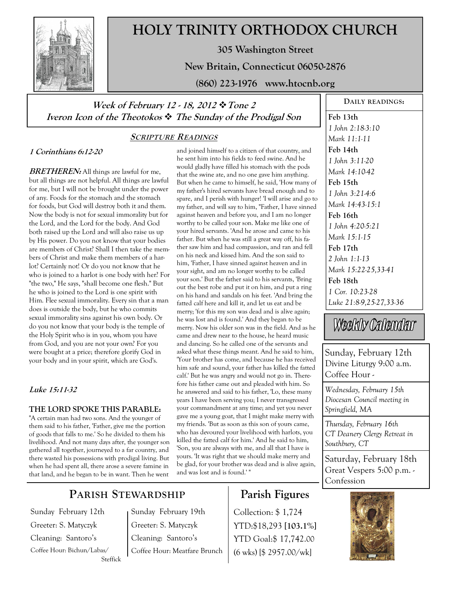

# **HOLY TRINITY ORTHODOX CHURCH**

**305 Washington Street** 

**New Britain, Connecticut 06050-2876** 

**(860) 223-1976 www.htocnb.org** 

### **Week of February 12 - 18, 2012 Tone 2 Iveron Icon of the Theotokos The Sunday of the Prodigal Son**

### **SCRIPTURE READINGS**

### **1 Corinthians 6:12-20**

**BRETHEREN:** All things are lawful for me, but all things are not helpful. All things are lawful for me, but I will not be brought under the power of any. Foods for the stomach and the stomach for foods, but God will destroy both it and them. Now the body is not for sexual immorality but for the Lord, and the Lord for the body. And God both raised up the Lord and will also raise us up by His power. Do you not know that your bodies are members of Christ? Shall I then take the members of Christ and make them members of a harlot? Certainly not! Or do you not know that he who is joined to a harlot is one body with her? For "the two," He says, "shall become one flesh." But he who is joined to the Lord is one spirit with Him. Flee sexual immorality. Every sin that a man does is outside the body, but he who commits sexual immorality sins against his own body. Or do you not know that your body is the temple of the Holy Spirit who is in you, whom you have from God, and you are not your own? For you were bought at a price; therefore glorify God in your body and in your spirit, which are God's.

#### **Luke 15:11-32**

#### **THE LORD SPOKE THIS PARABLE:**

"A certain man had two sons. And the younger of them said to his father, 'Father, give me the portion of goods that falls to me.' So he divided to them his livelihood. And not many days after, the younger son gathered all together, journeyed to a far country, and there wasted his possessions with prodigal living. But when he had spent all, there arose a severe famine in that land, and he began to be in want. Then he went

and joined himself to a citizen of that country, and he sent him into his fields to feed swine. And he would gladly have filled his stomach with the pods that the swine ate, and no one gave him anything. But when he came to himself, he said, 'How many of my father's hired servants have bread enough and to spare, and I perish with hunger! 'I will arise and go to my father, and will say to him, "Father, I have sinned against heaven and before you, and I am no longer worthy to be called your son. Make me like one of your hired servants. 'And he arose and came to his father. But when he was still a great way off, his father saw him and had compassion, and ran and fell on his neck and kissed him. And the son said to him, 'Father, I have sinned against heaven and in your sight, and am no longer worthy to be called your son.' But the father said to his servants, 'Bring out the best robe and put it on him, and put a ring on his hand and sandals on his feet. 'And bring the fatted calf here and kill it, and let us eat and be merry; 'for this my son was dead and is alive again; he was lost and is found.' And they began to be merry. Now his older son was in the field. And as he came and drew near to the house, he heard music and dancing. So he called one of the servants and asked what these things meant. And he said to him, 'Your brother has come, and because he has received him safe and sound, your father has killed the fatted calf.' But he was angry and would not go in. Therefore his father came out and pleaded with him. So he answered and said to his father, 'Lo, these many years I have been serving you; I never transgressed your commandment at any time; and yet you never gave me a young goat, that I might make merry with my friends. 'But as soon as this son of yours came, who has devoured your livelihood with harlots, you killed the fatted calf for him.' And he said to him, 'Son, you are always with me, and all that I have is yours. 'It was right that we should make merry and be glad, for your brother was dead and is alive again, and was lost and is found.' "

## **Parish Figures**

Collection: \$ 1,724 YTD:\$18,293 **[103.1%]** YTD Goal:\$ 17,742.00 (6 wks) [\$ 2957.00/wk]

**Feb 13th**  *1 John 2:18-3:10 Mark 11:1-11*  **Feb 14th**  *1 John 3:11-20 Mark 14:10-42*  **Feb 15th**  *1 John 3:21-4:6 Mark 14:43-15:1*  **Feb 16th**  *1 John 4:20-5:21 Mark 15:1-15*  **Feb 17th**  *2 John 1:1-13 Mark 15:22-25,33-41*  **Feb 18th**  *1 Cor. 10:23-28 Luke 21:8-9,25-27,33-36* 

**DAILY READINGS:** 

Weekly Calendar

Sunday, February 12th Divine Liturgy 9:00 a.m. Coffee Hour -

*Wednesday, February 15th Diocesan Council meeting in Springfield, MA*

*Thursday, February 16th CT Deanery Clergy Retreat in Southbury, CT*

Saturday, February 18th Great Vespers 5:00 p.m. - Confession



### **PARISH STEWARDSHIP**

Sunday February 12th Greeter: S. Matyczyk Cleaning: Santoro's Coffee Hour: Bichun/Labas/ Steffick Sunday February 19th Greeter: S. Matyczyk Cleaning: Santoro's Coffee Hour: Meatfare Brunch